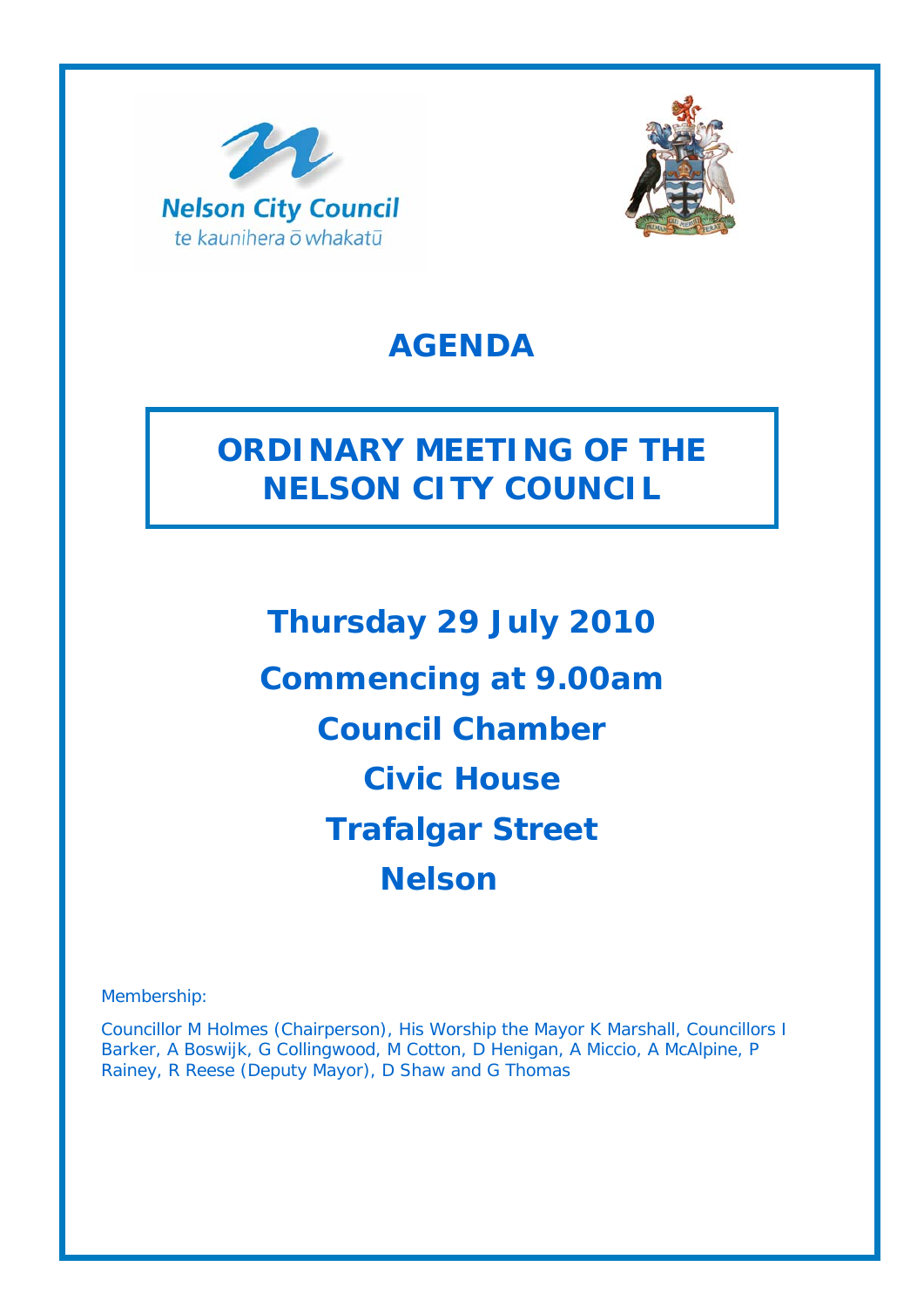



# **AGENDA**

# **ORDINARY MEETING OF THE NELSON CITY COUNCIL**

**Thursday 29 July 2010 Commencing at 9.00am Council Chamber Civic House Trafalgar Street Nelson**

Membership:

Councillor M Holmes (Chairperson), His Worship the Mayor K Marshall, Councillors I Barker, A Boswijk, G Collingwood, M Cotton, D Henigan, A Miccio, A McAlpine, P Rainey, R Reese (Deputy Mayor), D Shaw and G Thomas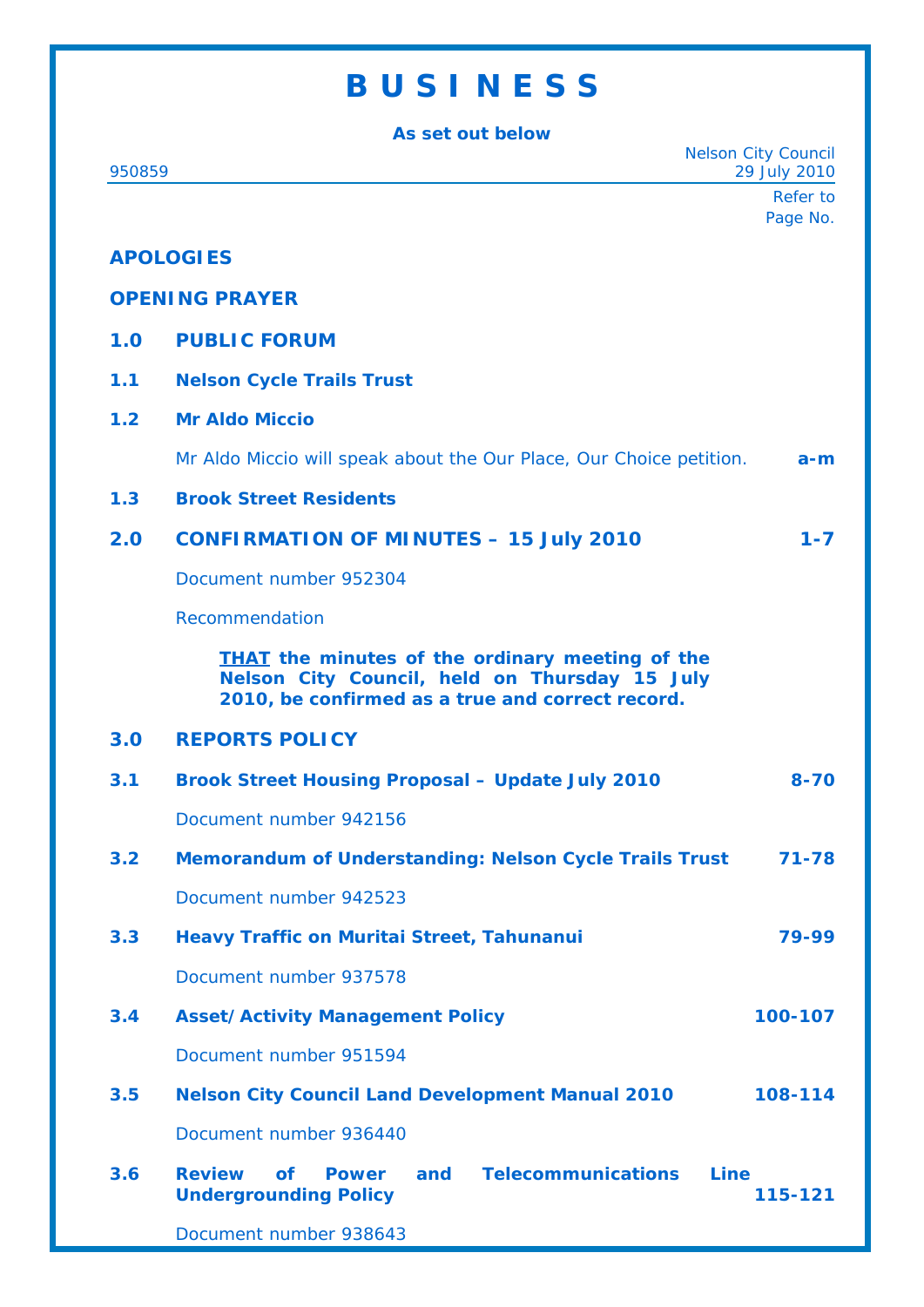# **B U S I N E S S**

**As set out below**  Nelson City Council 950859 29 July 2010 Refer to Page No. **APOLOGIES OPENING PRAYER 1.0 PUBLIC FORUM 1.1 Nelson Cycle Trails Trust 1.2 Mr Aldo Miccio**  Mr Aldo Miccio will speak about the Our Place, Our Choice petition. **a-m 1.3 Brook Street Residents 2.0 CONFIRMATION OF MINUTES – 15 July 2010 1-7**  Document number 952304 Recommendation *THAT the minutes of the ordinary meeting of the Nelson City Council, held on Thursday 15 July 2010, be confirmed as a true and correct record.* **3.0 REPORTS POLICY 3.1 Brook Street Housing Proposal – Update July 2010 8-70**  Document number 942156 **3.2 Memorandum of Understanding: Nelson Cycle Trails Trust 71-78**  Document number 942523 **3.3 Heavy Traffic on Muritai Street, Tahunanui 79-99**  Document number 937578 **3.4 Asset/Activity Management Policy 100-107**  Document number 951594 **3.5 Nelson City Council Land Development Manual 2010 108-114**  Document number 936440 **3.6 Review of Power and Telecommunications Line Undergrounding Policy 115-121** 

Document number 938643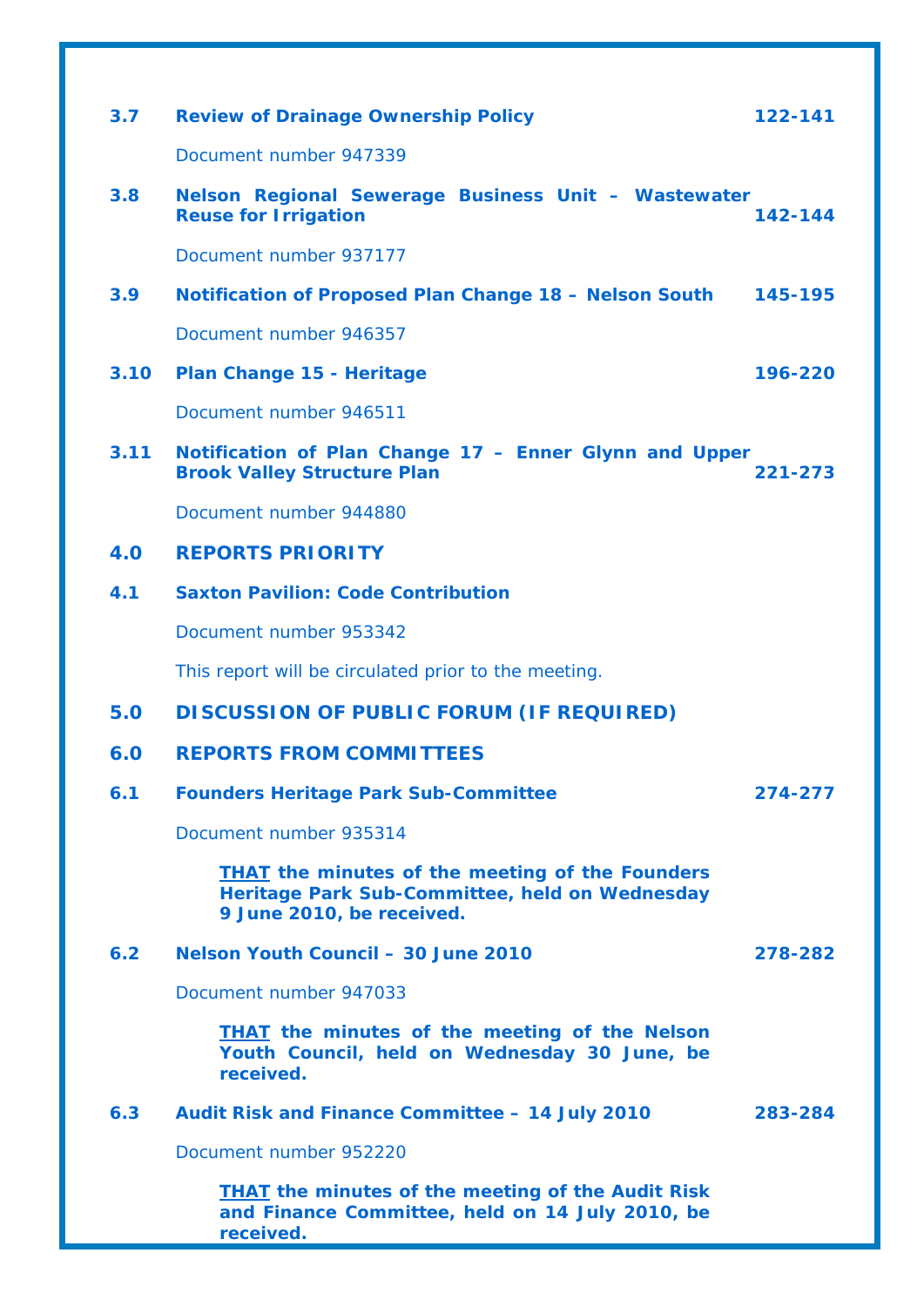| 3.7  | <b>Review of Drainage Ownership Policy</b>                                                                                            | 122-141 |
|------|---------------------------------------------------------------------------------------------------------------------------------------|---------|
|      | Document number 947339                                                                                                                |         |
| 3.8  | Nelson Regional Sewerage Business Unit - Wastewater<br><b>Reuse for Irrigation</b>                                                    | 142-144 |
|      | Document number 937177                                                                                                                |         |
| 3.9  | Notification of Proposed Plan Change 18 - Nelson South                                                                                | 145-195 |
|      | Document number 946357                                                                                                                |         |
| 3.10 | Plan Change 15 - Heritage                                                                                                             | 196-220 |
|      | Document number 946511                                                                                                                |         |
| 3.11 | Notification of Plan Change 17 - Enner Glynn and Upper<br><b>Brook Valley Structure Plan</b>                                          | 221-273 |
|      | Document number 944880                                                                                                                |         |
| 4.0  | <b>REPORTS PRIORITY</b>                                                                                                               |         |
| 4.1  | <b>Saxton Pavilion: Code Contribution</b>                                                                                             |         |
|      | Document number 953342                                                                                                                |         |
|      | This report will be circulated prior to the meeting.                                                                                  |         |
| 5.0  | <b>DISCUSSION OF PUBLIC FORUM (IF REQUIRED)</b>                                                                                       |         |
| 6.0  | <b>REPORTS FROM COMMITTEES</b>                                                                                                        |         |
| 6.1  | <b>Founders Heritage Park Sub-Committee</b>                                                                                           | 274-277 |
|      | Document number 935314                                                                                                                |         |
|      | <b>THAT</b> the minutes of the meeting of the Founders<br>Heritage Park Sub-Committee, held on Wednesday<br>9 June 2010, be received. |         |
| 6.2  | Nelson Youth Council - 30 June 2010                                                                                                   | 278-282 |
|      | Document number 947033                                                                                                                |         |
|      | <b>THAT</b> the minutes of the meeting of the Nelson<br>Youth Council, held on Wednesday 30 June, be<br>received.                     |         |
| 6.3  | Audit Risk and Finance Committee - 14 July 2010                                                                                       | 283-284 |
|      | Document number 952220                                                                                                                |         |
|      | <b>THAT</b> the minutes of the meeting of the Audit Risk<br>and Finance Committee, held on 14 July 2010, be                           |         |

*received.*